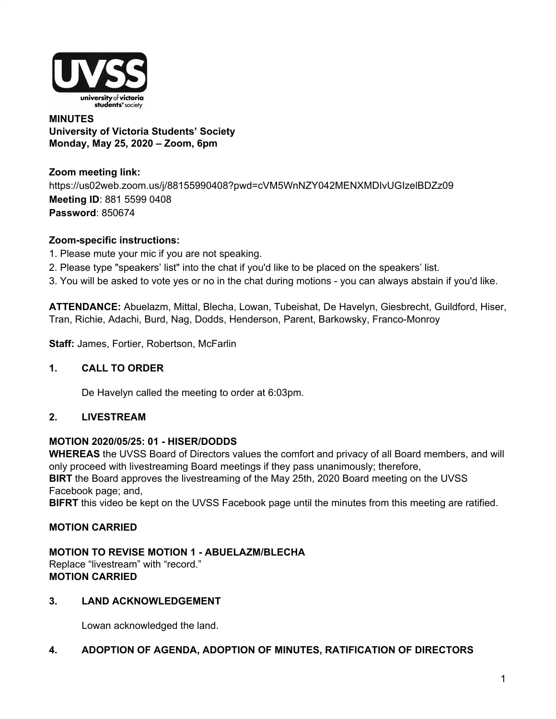

#### **MINUTES University of Victoria Students' Society Monday, May 25, 2020 – Zoom, 6pm**

**Zoom meeting link:** https://us02web.zoom.us/j/88155990408?pwd=cVM5WnNZY042MENXMDIvUGIzelBDZz09 **Meeting ID**: 881 5599 0408 **Password**: 850674

#### **Zoom-specific instructions:**

- 1. Please mute your mic if you are not speaking.
- 2. Please type "speakers' list" into the chat if you'd like to be placed on the speakers' list.
- 3. You will be asked to vote yes or no in the chat during motions you can always abstain if you'd like.

**ATTENDANCE:** Abuelazm, Mittal, Blecha, Lowan, Tubeishat, De Havelyn, Giesbrecht, Guildford, Hiser, Tran, Richie, Adachi, Burd, Nag, Dodds, Henderson, Parent, Barkowsky, Franco-Monroy

**Staff:** James, Fortier, Robertson, McFarlin

#### **1. CALL TO ORDER**

De Havelyn called the meeting to order at 6:03pm.

#### **2. LIVESTREAM**

#### **MOTION 2020/05/25: 01 - HISER/DODDS**

**WHEREAS** the UVSS Board of Directors values the comfort and privacy of all Board members, and will only proceed with livestreaming Board meetings if they pass unanimously; therefore, **BIRT** the Board approves the livestreaming of the May 25th, 2020 Board meeting on the UVSS Facebook page; and,

**BIFRT** this video be kept on the UVSS Facebook page until the minutes from this meeting are ratified.

#### **MOTION CARRIED**

#### **MOTION TO REVISE MOTION 1 - ABUELAZM/BLECHA** Replace "livestream" with "record." **MOTION CARRIED**

#### **3. LAND ACKNOWLEDGEMENT**

Lowan acknowledged the land.

#### **4. ADOPTION OF AGENDA, ADOPTION OF MINUTES, RATIFICATION OF DIRECTORS**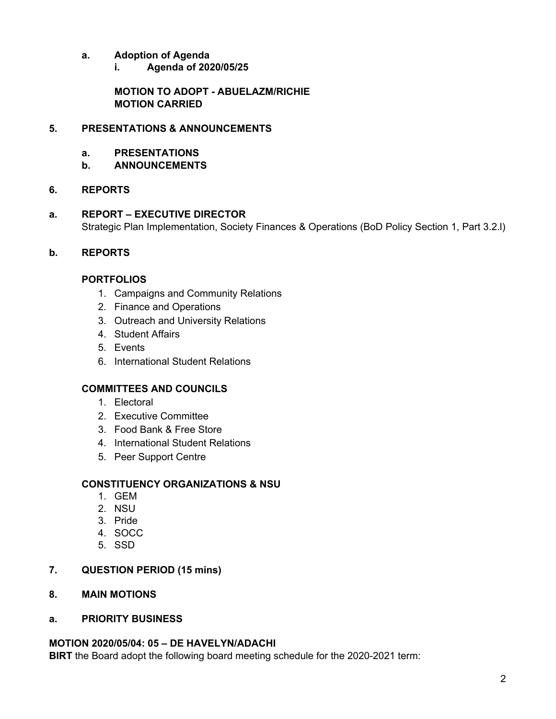- **a. Adoption of Agenda**
	- **i. Agenda of 2020/05/25**

**MOTION TO ADOPT - ABUELAZM/RICHIE MOTION CARRIED**

## **5. PRESENTATIONS & ANNOUNCEMENTS**

- **a. PRESENTATIONS**
- **b. ANNOUNCEMENTS**

# **6. REPORTS**

**a. REPORT – EXECUTIVE DIRECTOR** Strategic Plan Implementation, Society Finances & Operations (BoD Policy Section 1, Part 3.2.l)

# **b. REPORTS**

# **PORTFOLIOS**

- 1. Campaigns and Community Relations
- 2. Finance and Operations
- 3. Outreach and University Relations
- 4. Student Affairs
- 5. Events
- 6. International Student Relations

# **COMMITTEES AND COUNCILS**

- 1. Electoral
- 2. Executive Committee
- 3. Food Bank & Free Store
- 4. International Student Relations
- 5. Peer Support Centre

## **CONSTITUENCY ORGANIZATIONS & NSU**

- 1. GEM
- 2. NSU
- 3. Pride
- 4. SOCC
- 5. SSD

## **7. QUESTION PERIOD (15 mins)**

- **8. MAIN MOTIONS**
- **a. PRIORITY BUSINESS**

## **MOTION 2020/05/04: 05 – DE HAVELYN/ADACHI**

**BIRT** the Board adopt the following board meeting schedule for the 2020-2021 term: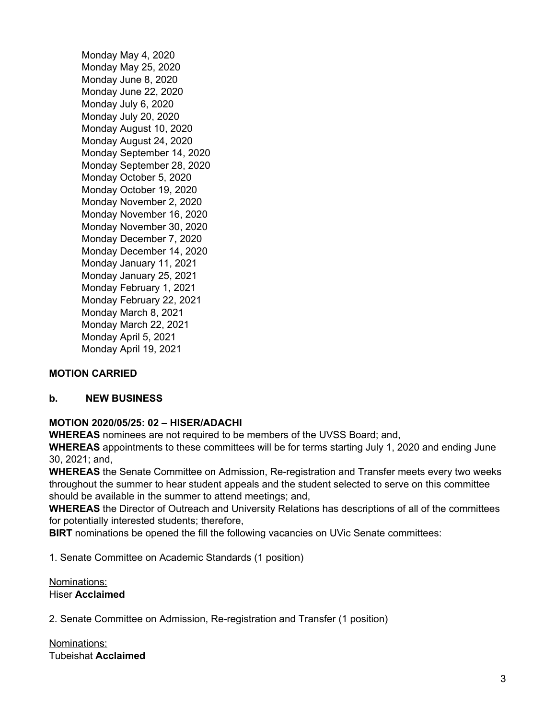Monday May 4, 2020 Monday May 25, 2020 Monday June 8, 2020 Monday June 22, 2020 Monday July 6, 2020 Monday July 20, 2020 Monday August 10, 2020 Monday August 24, 2020 Monday September 14, 2020 Monday September 28, 2020 Monday October 5, 2020 Monday October 19, 2020 Monday November 2, 2020 Monday November 16, 2020 Monday November 30, 2020 Monday December 7, 2020 Monday December 14, 2020 Monday January 11, 2021 Monday January 25, 2021 Monday February 1, 2021 Monday February 22, 2021 Monday March 8, 2021 Monday March 22, 2021 Monday April 5, 2021 Monday April 19, 2021

## **MOTION CARRIED**

#### **b. NEW BUSINESS**

#### **MOTION 2020/05/25: 02 – HISER/ADACHI**

**WHEREAS** nominees are not required to be members of the UVSS Board; and,

**WHEREAS** appointments to these committees will be for terms starting July 1, 2020 and ending June 30, 2021; and,

**WHEREAS** the Senate Committee on Admission, Re-registration and Transfer meets every two weeks throughout the summer to hear student appeals and the student selected to serve on this committee should be available in the summer to attend meetings; and,

**WHEREAS** the Director of Outreach and University Relations has descriptions of all of the committees for potentially interested students; therefore,

**BIRT** nominations be opened the fill the following vacancies on UVic Senate committees:

1. Senate Committee on Academic Standards (1 position)

Nominations: Hiser **Acclaimed**

2. Senate Committee on Admission, Re-registration and Transfer (1 position)

Nominations: Tubeishat **Acclaimed**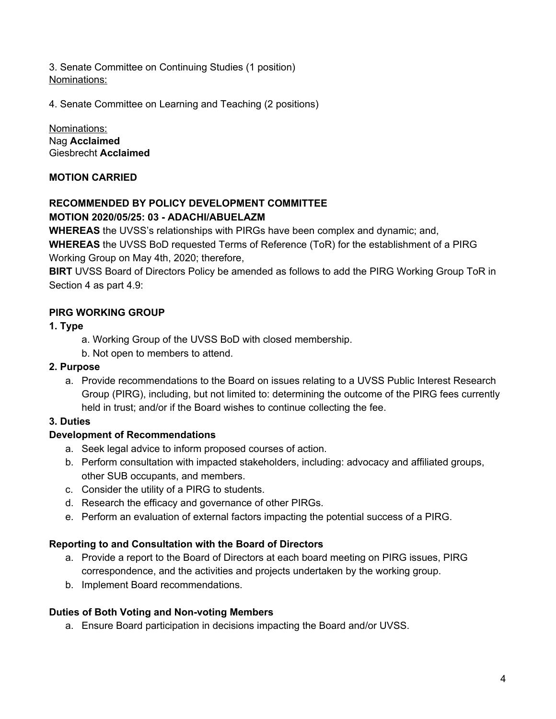3. Senate Committee on Continuing Studies (1 position) Nominations:

4. Senate Committee on Learning and Teaching (2 positions)

Nominations: Nag **Acclaimed** Giesbrecht **Acclaimed**

# **MOTION CARRIED**

# **RECOMMENDED BY POLICY DEVELOPMENT COMMITTEE MOTION 2020/05/25: 03 - ADACHI/ABUELAZM**

**WHEREAS** the UVSS's relationships with PIRGs have been complex and dynamic; and,

**WHEREAS** the UVSS BoD requested Terms of Reference (ToR) for the establishment of a PIRG Working Group on May 4th, 2020; therefore,

**BIRT** UVSS Board of Directors Policy be amended as follows to add the PIRG Working Group ToR in Section 4 as part 4.9:

# **PIRG WORKING GROUP**

#### **1. Type**

- a. Working Group of the UVSS BoD with closed membership.
- b. Not open to members to attend.

## **2. Purpose**

a. Provide recommendations to the Board on issues relating to a UVSS Public Interest Research Group (PIRG), including, but not limited to: determining the outcome of the PIRG fees currently held in trust; and/or if the Board wishes to continue collecting the fee.

## **3. Duties**

## **Development of Recommendations**

- a. Seek legal advice to inform proposed courses of action.
- b. Perform consultation with impacted stakeholders, including: advocacy and affiliated groups, other SUB occupants, and members.
- c. Consider the utility of a PIRG to students.
- d. Research the efficacy and governance of other PIRGs.
- e. Perform an evaluation of external factors impacting the potential success of a PIRG.

## **Reporting to and Consultation with the Board of Directors**

- a. Provide a report to the Board of Directors at each board meeting on PIRG issues, PIRG correspondence, and the activities and projects undertaken by the working group.
- b. Implement Board recommendations.

## **Duties of Both Voting and Non-voting Members**

a. Ensure Board participation in decisions impacting the Board and/or UVSS.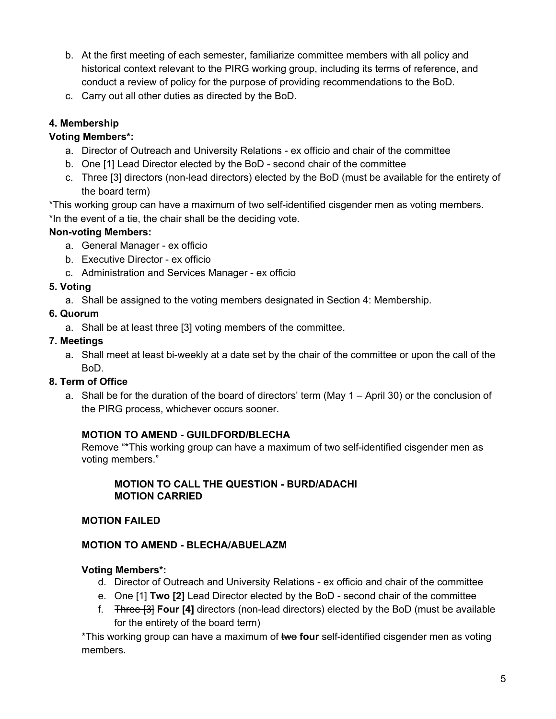- b. At the first meeting of each semester, familiarize committee members with all policy and historical context relevant to the PIRG working group, including its terms of reference, and conduct a review of policy for the purpose of providing recommendations to the BoD.
- c. Carry out all other duties as directed by the BoD.

# **4. Membership**

# **Voting Members\*:**

- a. Director of Outreach and University Relations ex officio and chair of the committee
- b. One [1] Lead Director elected by the BoD second chair of the committee
- c. Three [3] directors (non-lead directors) elected by the BoD (must be available for the entirety of the board term)

\*This working group can have a maximum of two self-identified cisgender men as voting members. \*In the event of a tie, the chair shall be the deciding vote.

# **Non-voting Members:**

- a. General Manager ex officio
- b. Executive Director ex officio
- c. Administration and Services Manager ex officio

## **5. Voting**

a. Shall be assigned to the voting members designated in Section 4: Membership.

## **6. Quorum**

a. Shall be at least three [3] voting members of the committee.

## **7. Meetings**

a. Shall meet at least bi-weekly at a date set by the chair of the committee or upon the call of the BoD.

## **8. Term of Office**

a. Shall be for the duration of the board of directors' term (May 1 – April 30) or the conclusion of the PIRG process, whichever occurs sooner.

## **MOTION TO AMEND - GUILDFORD/BLECHA**

Remove "\*This working group can have a maximum of two self-identified cisgender men as voting members."

#### **MOTION TO CALL THE QUESTION - BURD/ADACHI MOTION CARRIED**

## **MOTION FAILED**

## **MOTION TO AMEND - BLECHA/ABUELAZM**

## **Voting Members\*:**

- d. Director of Outreach and University Relations ex officio and chair of the committee
- e. One [1] **Two [2]** Lead Director elected by the BoD second chair of the committee
- f. Three [3] **Four [4]** directors (non-lead directors) elected by the BoD (must be available for the entirety of the board term)

\*This working group can have a maximum of two **four** self-identified cisgender men as voting members.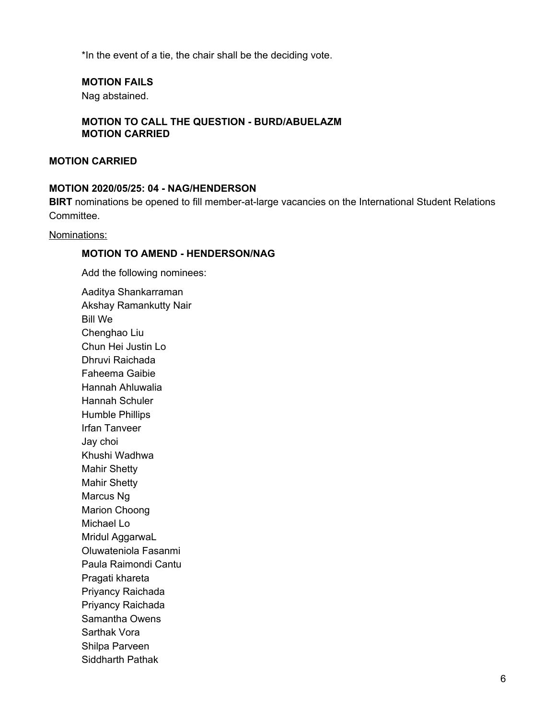\*In the event of a tie, the chair shall be the deciding vote.

#### **MOTION FAILS**

Nag abstained.

#### **MOTION TO CALL THE QUESTION - BURD/ABUELAZM MOTION CARRIED**

#### **MOTION CARRIED**

#### **MOTION 2020/05/25: 04 - NAG/HENDERSON**

**BIRT** nominations be opened to fill member-at-large vacancies on the International Student Relations Committee.

Nominations:

#### **MOTION TO AMEND - HENDERSON/NAG**

Add the following nominees:

Aaditya Shankarraman Akshay Ramankutty Nair Bill We Chenghao Liu Chun Hei Justin Lo Dhruvi Raichada Faheema Gaibie Hannah Ahluwalia Hannah Schuler Humble Phillips Irfan Tanveer Jay choi Khushi Wadhwa Mahir Shetty Mahir Shetty Marcus Ng Marion Choong Michael Lo Mridul AggarwaL Oluwateniola Fasanmi Paula Raimondi Cantu Pragati khareta Priyancy Raichada Priyancy Raichada Samantha Owens Sarthak Vora Shilpa Parveen Siddharth Pathak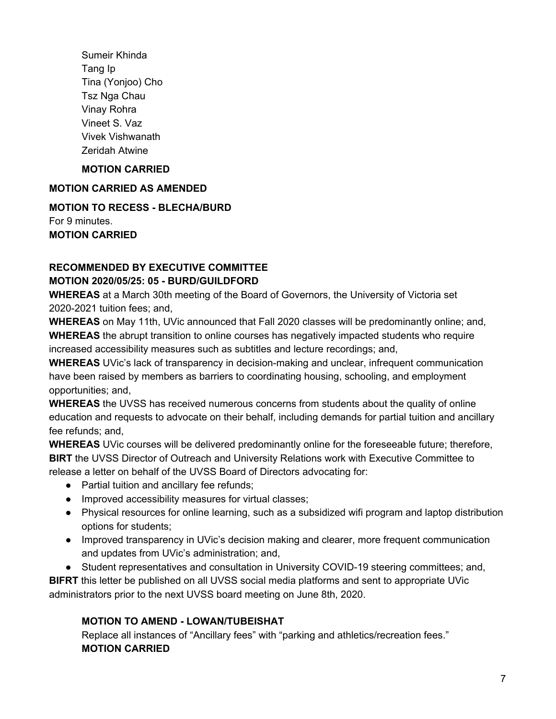Sumeir Khinda Tang Ip Tina (Yonjoo) Cho Tsz Nga Chau Vinay Rohra Vineet S. Vaz Vivek Vishwanath Zeridah Atwine

## **MOTION CARRIED**

# **MOTION CARRIED AS AMENDED**

**MOTION TO RECESS - BLECHA/BURD** For 9 minutes. **MOTION CARRIED**

# **RECOMMENDED BY EXECUTIVE COMMITTEE**

### **MOTION 2020/05/25: 05 - BURD/GUILDFORD**

**WHEREAS** at a March 30th meeting of the Board of Governors, the University of Victoria set 2020-2021 tuition fees; and,

**WHEREAS** on May 11th, UVic announced that Fall 2020 classes will be predominantly online; and, **WHEREAS** the abrupt transition to online courses has negatively impacted students who require increased accessibility measures such as subtitles and lecture recordings; and,

**WHEREAS** UVic's lack of transparency in decision-making and unclear, infrequent communication have been raised by members as barriers to coordinating housing, schooling, and employment opportunities; and,

**WHEREAS** the UVSS has received numerous concerns from students about the quality of online education and requests to advocate on their behalf, including demands for partial tuition and ancillary fee refunds; and,

**WHEREAS** UVic courses will be delivered predominantly online for the foreseeable future; therefore, **BIRT** the UVSS Director of Outreach and University Relations work with Executive Committee to release a letter on behalf of the UVSS Board of Directors advocating for:

- Partial tuition and ancillary fee refunds:
- Improved accessibility measures for virtual classes;
- Physical resources for online learning, such as a subsidized wifi program and laptop distribution options for students;
- Improved transparency in UVic's decision making and clearer, more frequent communication and updates from UVic's administration; and,
- Student representatives and consultation in University COVID-19 steering committees; and,

**BIFRT** this letter be published on all UVSS social media platforms and sent to appropriate UVic administrators prior to the next UVSS board meeting on June 8th, 2020.

## **MOTION TO AMEND - LOWAN/TUBEISHAT**

Replace all instances of "Ancillary fees" with "parking and athletics/recreation fees." **MOTION CARRIED**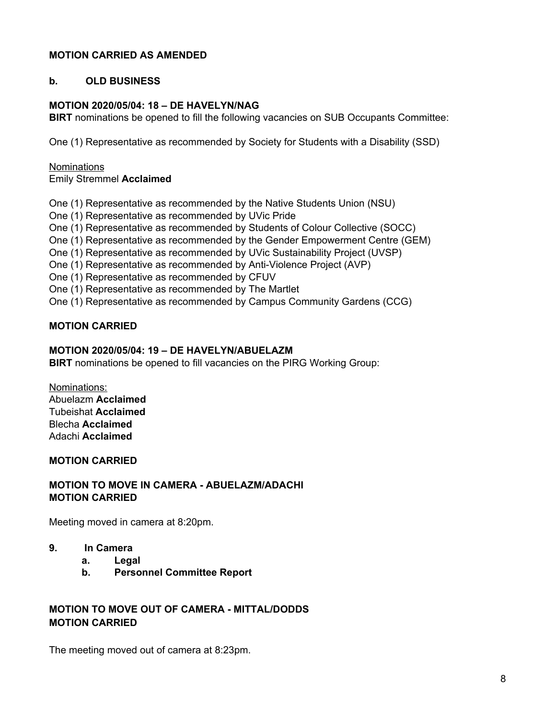### **MOTION CARRIED AS AMENDED**

#### **b. OLD BUSINESS**

## **MOTION 2020/05/04: 18 – DE HAVELYN/NAG**

**BIRT** nominations be opened to fill the following vacancies on SUB Occupants Committee:

One (1) Representative as recommended by Society for Students with a Disability (SSD)

#### **Nominations**

Emily Stremmel **Acclaimed**

One (1) Representative as recommended by the Native Students Union (NSU)

One (1) Representative as recommended by UVic Pride

One (1) Representative as recommended by Students of Colour Collective (SOCC)

One (1) Representative as recommended by the Gender Empowerment Centre (GEM)

One (1) Representative as recommended by UVic Sustainability Project (UVSP)

One (1) Representative as recommended by Anti-Violence Project (AVP)

One (1) Representative as recommended by CFUV

One (1) Representative as recommended by The Martlet

One (1) Representative as recommended by Campus Community Gardens (CCG)

#### **MOTION CARRIED**

#### **MOTION 2020/05/04: 19 – DE HAVELYN/ABUELAZM**

**BIRT** nominations be opened to fill vacancies on the PIRG Working Group:

Nominations: Abuelazm **Acclaimed** Tubeishat **Acclaimed** Blecha **Acclaimed** Adachi **Acclaimed**

#### **MOTION CARRIED**

#### **MOTION TO MOVE IN CAMERA - ABUELAZM/ADACHI MOTION CARRIED**

Meeting moved in camera at 8:20pm.

- **9. In Camera**
	- **a. Legal**
	- **b. Personnel Committee Report**

## **MOTION TO MOVE OUT OF CAMERA - MITTAL/DODDS MOTION CARRIED**

The meeting moved out of camera at 8:23pm.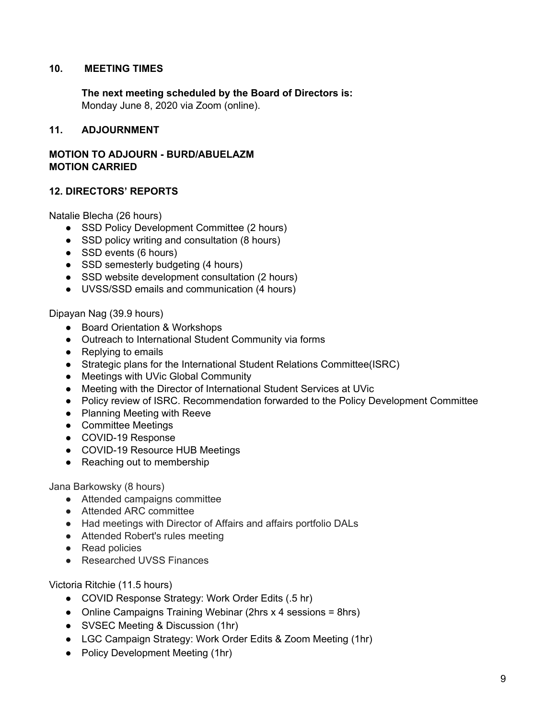#### **10. MEETING TIMES**

**The next meeting scheduled by the Board of Directors is:** Monday June 8, 2020 via Zoom (online).

#### **11. ADJOURNMENT**

#### **MOTION TO ADJOURN - BURD/ABUELAZM MOTION CARRIED**

#### **12. DIRECTORS' REPORTS**

Natalie Blecha (26 hours)

- SSD Policy Development Committee (2 hours)
- SSD policy writing and consultation (8 hours)
- SSD events (6 hours)
- SSD semesterly budgeting (4 hours)
- SSD website development consultation (2 hours)
- UVSS/SSD emails and communication (4 hours)

#### Dipayan Nag (39.9 hours)

- Board Orientation & Workshops
- Outreach to International Student Community via forms
- Replying to emails
- Strategic plans for the International Student Relations Committee(ISRC)
- Meetings with UVic Global Community
- Meeting with the Director of International Student Services at UVic
- **●** Policy review of ISRC. Recommendation forwarded to the Policy Development Committee
- Planning Meeting with Reeve
- Committee Meetings
- COVID-19 Response
- COVID-19 Resource HUB Meetings
- Reaching out to membership

Jana Barkowsky (8 hours)

- Attended campaigns committee
- Attended ARC committee
- Had meetings with Director of Affairs and affairs portfolio DALs
- Attended Robert's rules meeting
- Read policies
- Researched UVSS Finances

Victoria Ritchie (11.5 hours)

- COVID Response Strategy: Work Order Edits (.5 hr)
- Online Campaigns Training Webinar (2hrs x 4 sessions = 8hrs)
- SVSEC Meeting & Discussion (1hr)
- LGC Campaign Strategy: Work Order Edits & Zoom Meeting (1hr)
- Policy Development Meeting (1hr)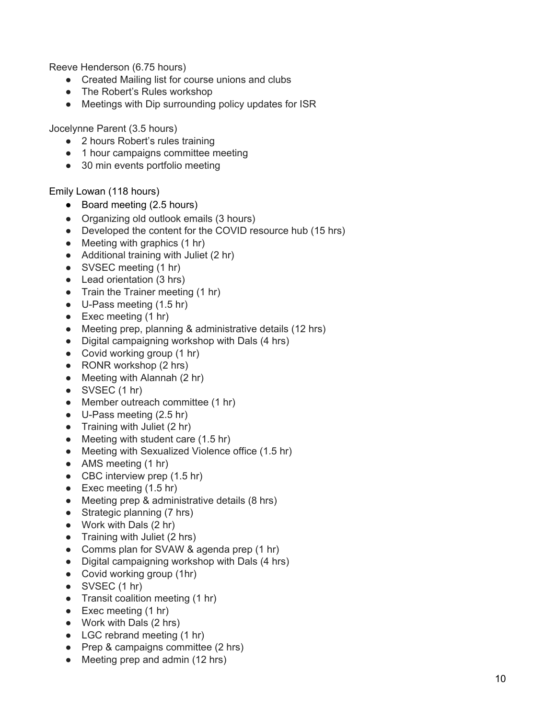Reeve Henderson (6.75 hours)

- Created Mailing list for course unions and clubs
- The Robert's Rules workshop
- Meetings with Dip surrounding policy updates for ISR

Jocelynne Parent (3.5 hours)

- 2 hours Robert's rules training
- 1 hour campaigns committee meeting
- 30 min events portfolio meeting

Emily Lowan (118 hours)

- Board meeting (2.5 hours)
- Organizing old outlook emails (3 hours)
- Developed the content for the COVID resource hub (15 hrs)
- Meeting with graphics (1 hr)
- Additional training with Juliet (2 hr)
- SVSEC meeting (1 hr)
- Lead orientation (3 hrs)
- Train the Trainer meeting (1 hr)
- U-Pass meeting (1.5 hr)
- Exec meeting  $(1 hr)$
- Meeting prep, planning & administrative details (12 hrs)
- Digital campaigning workshop with Dals (4 hrs)
- Covid working group (1 hr)
- RONR workshop (2 hrs)
- Meeting with Alannah (2 hr)
- $\bullet$  SVSEC (1 hr)
- Member outreach committee (1 hr)
- $\bullet$  U-Pass meeting (2.5 hr)
- Training with Juliet (2 hr)
- Meeting with student care (1.5 hr)
- Meeting with Sexualized Violence office (1.5 hr)
- AMS meeting (1 hr)
- CBC interview prep (1.5 hr)
- Exec meeting  $(1.5 \text{ hr})$
- Meeting prep & administrative details (8 hrs)
- Strategic planning (7 hrs)
- Work with Dals (2 hr)
- Training with Juliet (2 hrs)
- Comms plan for SVAW & agenda prep (1 hr)
- Digital campaigning workshop with Dals (4 hrs)
- Covid working group (1hr)
- $\bullet$  SVSEC (1 hr)
- Transit coalition meeting (1 hr)
- Exec meeting  $(1 hr)$
- Work with Dals (2 hrs)
- LGC rebrand meeting (1 hr)
- Prep & campaigns committee (2 hrs)
- Meeting prep and admin (12 hrs)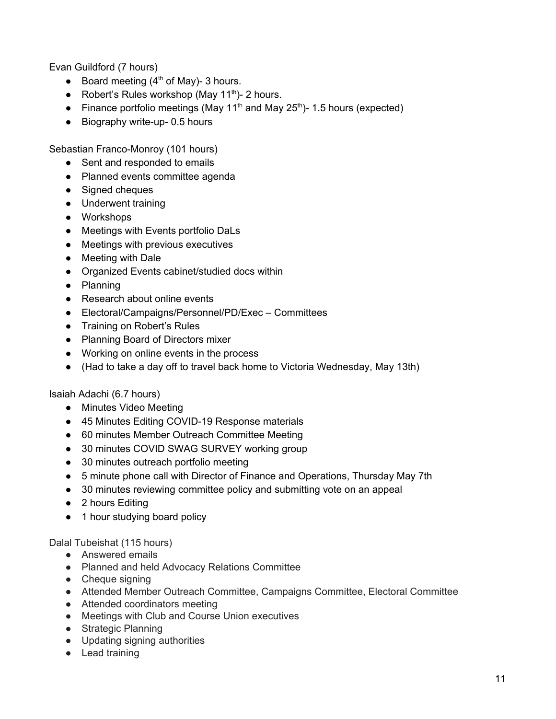Evan Guildford (7 hours)

- Board meeting  $(4<sup>th</sup>$  of May)- 3 hours.
- Robert's Rules workshop (May 11<sup>th</sup>)- 2 hours.
- Finance portfolio meetings (May 11<sup>th</sup> and May 25<sup>th</sup>)- 1.5 hours (expected)
- Biography write-up- 0.5 hours

Sebastian Franco-Monroy (101 hours)

- Sent and responded to emails
- Planned events committee agenda
- Signed cheques
- Underwent training
- Workshops
- Meetings with Events portfolio DaLs
- Meetings with previous executives
- Meeting with Dale
- Organized Events cabinet/studied docs within
- Planning
- Research about online events
- Electoral/Campaigns/Personnel/PD/Exec Committees
- Training on Robert's Rules
- Planning Board of Directors mixer
- Working on online events in the process
- (Had to take a day off to travel back home to Victoria Wednesday, May 13th)

Isaiah Adachi (6.7 hours)

- Minutes Video Meeting
- 45 Minutes Editing COVID-19 Response materials
- 60 minutes Member Outreach Committee Meeting
- 30 minutes COVID SWAG SURVEY working group
- 30 minutes outreach portfolio meeting
- 5 minute phone call with Director of Finance and Operations, Thursday May 7th
- 30 minutes reviewing committee policy and submitting vote on an appeal
- 2 hours Editing
- 1 hour studying board policy

Dalal Tubeishat (115 hours)

- Answered emails
- Planned and held Advocacy Relations Committee
- Cheque signing
- Attended Member Outreach Committee, Campaigns Committee, Electoral Committee
- Attended coordinators meeting
- Meetings with Club and Course Union executives
- Strategic Planning
- Updating signing authorities
- Lead training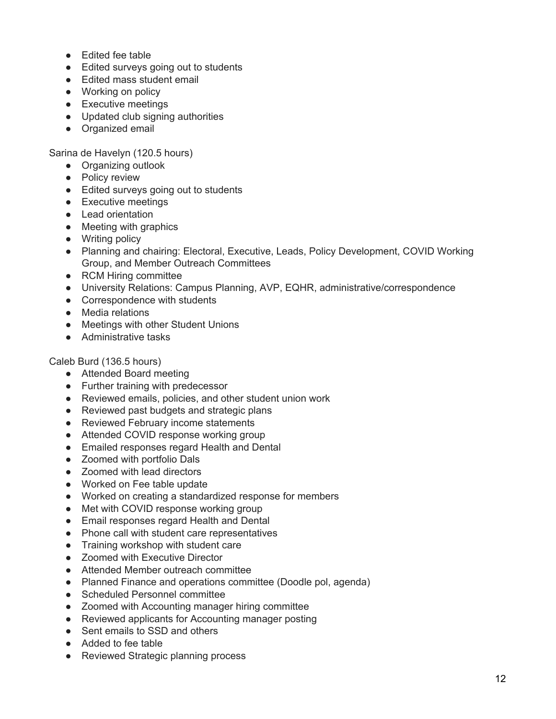- Edited fee table
- Edited surveys going out to students
- Edited mass student email
- Working on policy
- Executive meetings
- Updated club signing authorities
- Organized email

Sarina de Havelyn (120.5 hours)

- Organizing outlook
- Policy review
- Edited surveys going out to students
- Executive meetings
- Lead orientation
- Meeting with graphics
- Writing policy
- Planning and chairing: Electoral, Executive, Leads, Policy Development, COVID Working Group, and Member Outreach Committees
- RCM Hiring committee
- University Relations: Campus Planning, AVP, EQHR, administrative/correspondence
- Correspondence with students
- Media relations
- Meetings with other Student Unions
- Administrative tasks

Caleb Burd (136.5 hours)

- Attended Board meeting
- Further training with predecessor
- Reviewed emails, policies, and other student union work
- Reviewed past budgets and strategic plans
- Reviewed February income statements
- Attended COVID response working group
- Emailed responses regard Health and Dental
- Zoomed with portfolio Dals
- Zoomed with lead directors
- Worked on Fee table update
- Worked on creating a standardized response for members
- Met with COVID response working group
- Email responses regard Health and Dental
- Phone call with student care representatives
- Training workshop with student care
- Zoomed with Executive Director
- Attended Member outreach committee
- Planned Finance and operations committee (Doodle pol, agenda)
- Scheduled Personnel committee
- Zoomed with Accounting manager hiring committee
- Reviewed applicants for Accounting manager posting
- Sent emails to SSD and others
- Added to fee table
- Reviewed Strategic planning process